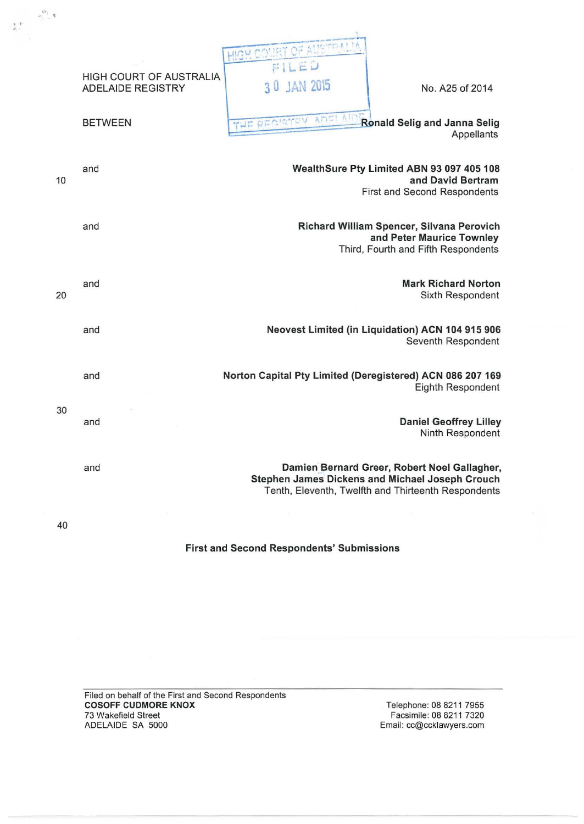|  | $ \frac{\omega_1}{\omega_2}$ |                                                     |                                                           |                                                                                                                                                        |
|--|------------------------------|-----------------------------------------------------|-----------------------------------------------------------|--------------------------------------------------------------------------------------------------------------------------------------------------------|
|  |                              |                                                     | Acres of                                                  |                                                                                                                                                        |
|  |                              | HIGH COURT OF AUSTRALIA<br><b>ADELAIDE REGISTRY</b> | $L = U$<br><b>JAN 2015</b><br>30 <sup>°</sup>             | No. A25 of 2014                                                                                                                                        |
|  |                              | <b>BETWEEN</b>                                      | AT<br>THE REGISTEV                                        | Ronald Selig and Janna Selig<br>Appellants                                                                                                             |
|  | 10                           | and                                                 |                                                           | WealthSure Pty Limited ABN 93 097 405 108<br>and David Bertram<br>First and Second Respondents                                                         |
|  |                              | and                                                 |                                                           | Richard William Spencer, Silvana Perovich<br>and Peter Maurice Townley                                                                                 |
|  | 20                           | and                                                 |                                                           | Third, Fourth and Fifth Respondents<br><b>Mark Richard Norton</b><br>Sixth Respondent                                                                  |
|  |                              | and                                                 |                                                           | Neovest Limited (in Liquidation) ACN 104 915 906<br>Seventh Respondent                                                                                 |
|  |                              | and                                                 | Norton Capital Pty Limited (Deregistered) ACN 086 207 169 | Eighth Respondent                                                                                                                                      |
|  | 30                           | and                                                 |                                                           | <b>Daniel Geoffrey Lilley</b><br>Ninth Respondent                                                                                                      |
|  |                              | and                                                 |                                                           | Damien Bernard Greer, Robert Noel Gallagher,<br>Stephen James Dickens and Michael Joseph Crouch<br>Tenth, Eleventh, Twelfth and Thirteenth Respondents |
|  | -6<br>40                     |                                                     | ÷                                                         |                                                                                                                                                        |

First and Second Respondents' Submissions

Filed on behalf of the First and Second Respondents **COSOFF CUDMORE KNOX** 73 Wakefield Street ADELAIDE SA 5000

Telephone: 08 8211 7955 Facsimile: 08 8211 7320 Email: cc@ccklawyers.com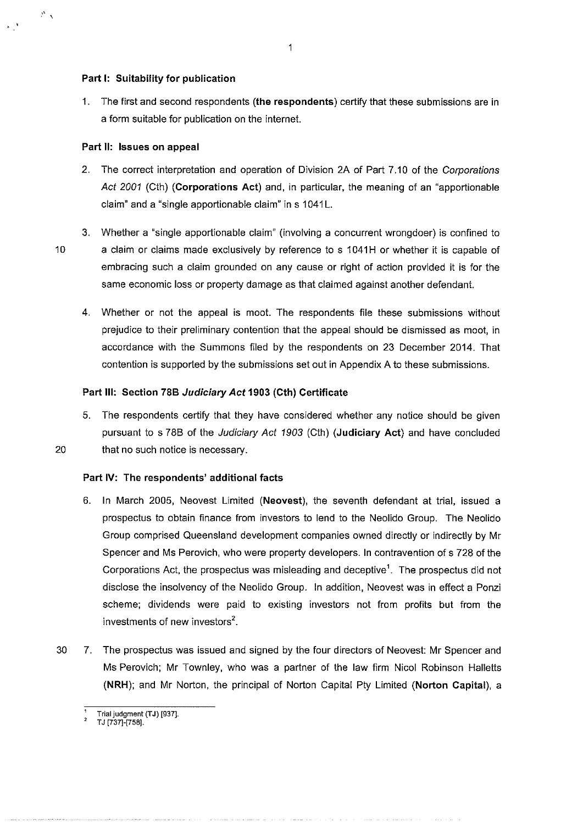### **Part 1: Suitability for publication**

1. The first and second respondents **(the respondents)** certify that these submissions are in a form suitable for publication on the internet.

## **Part II: Issues on appeal**

- 2. The correct interpretation and operation of Division 2A of Part 7.10 of the Corporations Act 2001 (Cth) **(Corporations Act)** and, in particular, the meaning of an "apportionable claim" and a "single apportionable claim" in s 1041L.
- 

" x

3. Whether a "single apportionable claim" (involving a concurrent wrongdoer) is confined to 10 a claim or claims made exclusively by reference to s 1041H or whether it is capable of embracing such a claim grounded on any cause or right of action provided it is for the same economic loss or property damage as that claimed against another defendant.

4. Whether or not the appeal is moot. The respondents file these submissions without prejudice to their preliminary contention that the appeal should be dismissed as moot, in accordance with the Summons filed by the respondents on 23 December 2014. That contention is supported by the submissions set out in Appendix A to these submissions.

# **Part Ill: Section 788 Judiciary Act 1903 (Cth) Certificate**

5. The respondents certify that they have considered whether any notice should be given pursuant to s 788 of the Judiciary Act 1903 (Cth) **(Judiciary Act)** and have concluded 20 that no such notice is necessary.

# **Part IV: The respondents' additional facts**

- 6. In March 2005, Neovest Limited **(Neovest),** the seventh defendant at trial, issued a prospectus to obtain finance from investors to lend to the Neolido Group. The Neolido Group comprised Queensland development companies owned directly or indirectly by Mr Spencer and Ms Perovich, who were property developers. In contravention of s 728 of the Corporations Act, the prospectus was misleading and deceptive<sup>1</sup>. The prospectus did not disclose the insolvency of the Neolido Group. In addition, Neovest was in effect a Ponzi scheme; dividends were paid to existing investors not from profits but from the investments of new investors<sup>2</sup>.
- 30 7. The prospectus was issued and signed by the four directors of Neovest: Mr Spencer and Ms Perovich; Mr Townley, who was a partner of the law firm Nicol Robinson Halletts **(NRH);** and Mr Norton, the principal of Norton Capital Pty Limited **(Norton Capital),** a

T J 1737]-1758].

**Trial judgment (TJ) [937].**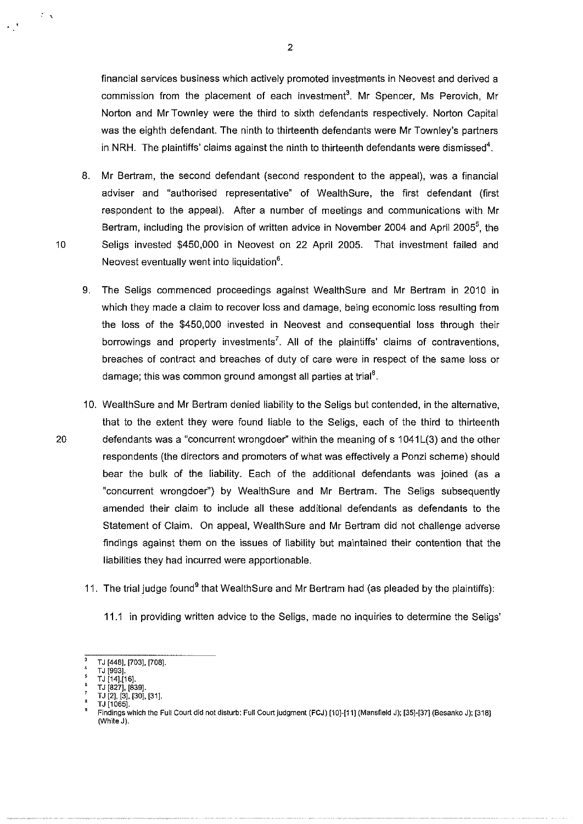financial services business which actively promoted investments in Neovest and derived a commission from the placement of each investment'. Mr Spencer, Ms Perovich, Mr Norton and **Mr** Townley were the third to sixth defendants respectively. Norton Capital was the eighth defendant. The ninth to thirteenth defendants were Mr Townley's partners in NRH. The plaintiffs' claims against the ninth to thirteenth defendants were dismissed<sup>4</sup>.

- 8. Mr Bertram, the second defendant (second respondent to the appeal), was a financial adviser and "authorised representative" of WealthSure, the first defendant (first respondent to the appeal). After a number of meetings and communications with Mr Bertram, including the provision of written advice in November 2004 and April 2005<sup>5</sup>, the 10 Seligs invested \$450,000 in Neovest on 22 April 2005. That investment failed and Neovest eventually went into liquidation<sup>6</sup>.
	- 9. The Seligs commenced proceedings against WealthSure and Mr Bertram in 2010 in which they made a claim to recover loss and damage, being economic loss resulting from the loss of the \$450,000 invested **in** Neovest and consequential loss through their borrowings and property investments<sup>7</sup>. All of the plaintiffs' claims of contraventions, breaches of contract and breaches of duty of care were in respect of the same loss or damage; this was common ground amongst all parties at trial<sup>8</sup>.
- 10. WealthSure and Mr Bertram denied liability to the Seligs but contended, in the alternative, that to the extent they were found liable to the Seligs, each of the third to thirteenth 20 defendants was a "concurrent wrongdoer" within the meaning of s 1041L(3) and the other respondents (the directors and promoters of what was effectively a Ponzi scheme) should bear the bulk of the liability. Each of the additional defendants was joined (as a "concurrent wrongdoer") by WealthSure and Mr Bertram. The Seligs subsequently amended their claim to include all these additional defendants as defendants to the Statement of Claim. On appeal, Wealth Sure and Mr Bertram did not challenge adverse findings against them on the issues of liability but maintained their contention that the liabilities they had incurred were apportionable.
	- 11. The trial judge found<sup>9</sup> that WealthSure and Mr Bertram had (as pleaded by the plaintiffs):
		- 11.1 in providing written advice to the Seligs, made no inquiries to determine the Seligs'

 $\mathcal{P}_{\mathcal{A}}$ 

 $\overline{\mathbf{3}}$ TJ [448], [703], [708].

TJ [993].

TJ 114],116]. T J 1827], 1839].

TJ [2], [3], [30]. [31].

<sup>&#</sup>x27; TJ[1065]. 9 **Findings which the Full Court did not disturb: Full Court judgment (FCJ) [10]-[11] (Mansfield J); [35H37] (Besanko J); [318]**  (White J).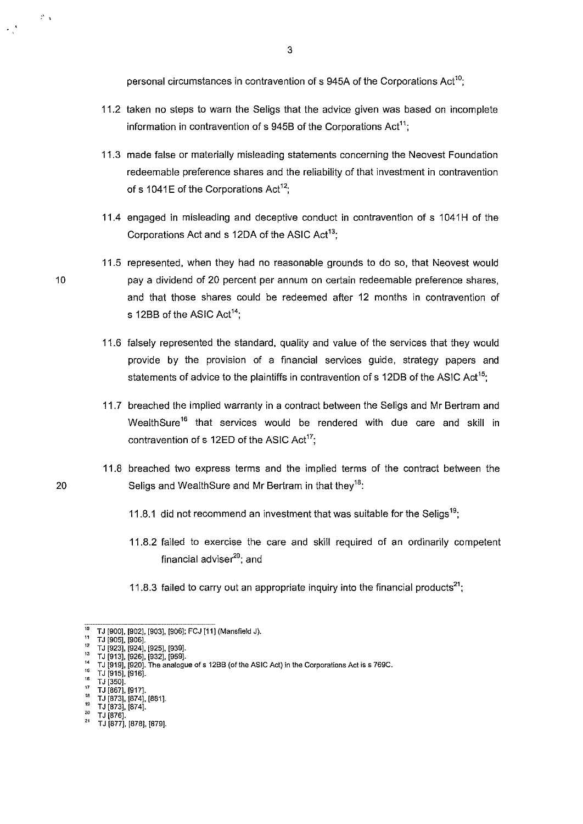personal circumstances in contravention of s 945A of the Corporations Act<sup>10</sup>;

- 11.2 taken no steps to warn the Seligs that the advice given was based on incomplete information in contravention of  $s$  945B of the Corporations Act<sup>11</sup>:
- 11.3 made false or materially misleading statements concerning the Neovest Foundation redeemable preference shares and the reliability of that investment in contravention of s 1041E of the Corporations Act<sup>12</sup>;
- 11.4 engaged in misleading and deceptive conduct in contravention of s 1041H of the Corporations Act and s 12DA of the ASIC Act<sup>13</sup>:
- 11.5 represented, when they had no reasonable grounds to do so, that Neovest would pay a dividend of 20 percent per annum on certain redeemable preference shares, and that those shares could be redeemed after 12 months in contravention of s 12BB of the ASIC Act<sup>14</sup>:
- 11.6 falsely represented the standard, quality and value of the services that they would provide by the provision of a financial services guide, strategy papers and statements of advice to the plaintiffs in contravention of s 12DB of the ASIC Act<sup>15</sup>;
- 11.7 breached the implied warranty in a contract between the Seligs and Mr Bertram and WealthSure<sup>16</sup> that services would be rendered with due care and skill in contravention of s 12ED of the ASIC Act<sup>17</sup>:
- 11.8 breached two express terms and the implied terms of the contract between the Seligs and WealthSure and Mr Bertram in that they<sup>18</sup>:
	- 11.8.1 did not recommend an investment that was suitable for the Seligs<sup>19</sup>;
	- 11.8.2 failed to exercise the care and skill required of an ordinarily competent financial adviser<sup>20</sup>; and
	- 11.8.3 failed to carry out an appropriate inquiry into the financial products<sup>21</sup>;

 $^{18}$  TJ [873], [874], [881].<br> $^{19}$  TJ [873], [874].

10

 $\mathcal{P}_{\mathcal{A}}$ 

<sup>&#</sup>x27;" TJ 1900], 1902], 1903], 1906]; FCJ 111] (Mansfield J}.

<sup>&</sup>quot; TJ [905], [906].

<sup>&</sup>lt;sup>12</sup> TJ [923], [924], [925], [939].<br><sup>13</sup> TJ [913], [926], [932], [959].

<sup>&#</sup>x27;° TJ [913], [926], [932], [959].<br><sup>14</sup> TJ [919], [920]. The analogue of s 12BB (of the ASIC Act) in the Corporations Act is s 769C*.* 

<sup>&</sup>lt;sup>16</sup> TJ [915], [916].<br><sup>16</sup> TJ [350].

 $^{17}$  TJ [867], [917].

<sup>&</sup>quot; TJ [873], [874]. 20 **TJ [876].** 

<sup>&</sup>quot; T J [877], [878], [879].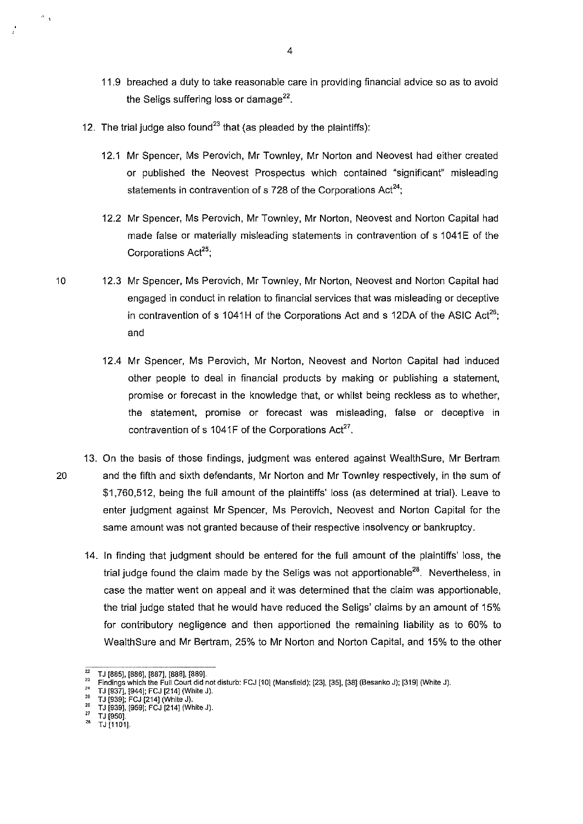- 11.9 breached a duty to take reasonable care in providing financial advice so as to avoid the Seligs suffering loss or damage<sup>22</sup>.
- 12. The trial judge also found<sup>23</sup> that (as pleaded by the plaintiffs):

 $\frac{1}{2}$ 

- 12.1 Mr Spencer, Ms Perovich, Mr Townley, Mr Norton and Neovest had either created or published the Neovest Prospectus which contained "significant" misleading statements in contravention of s 728 of the Corporations  $Act^{24}$ ;
- 12.2 Mr Spencer, Ms Perovich, Mr Townley, Mr Norton, Neovest and Norton Capital had made false or materially misleading statements in contravention of s 1041E of the Corporations Act<sup>25</sup>;
- 10 12.3 Mr Spencer, Ms Perovich, Mr Townley, Mr Norton, Neovest and Norton Capital had engaged in conduct in relation to financial services that was misleading or deceptive in contravention of s 1041H of the Corporations Act and s 12DA of the ASIC Act<sup>26</sup>; and
	- 12.4 Mr Spencer, Ms Perovich, Mr Norton, Neovest and Norton Capital had induced other people to deal in financial products by making or publishing a statement, promise or forecast in the knowledge that, or whilst being reckless as to whether, the statement, promise or forecast was misleading, false or deceptive in contravention of s 1041F of the Corporations  $Act^{27}$ .
- 13. On the basis of those findings, judgment was entered against WealthSure, Mr Bertram 20 and the fifth and sixth defendants, Mr Norton and Mr Townley respectively, in the sum of \$1,760,512, being the full amount of the plaintiffs' Joss (as determined at trial). Leave to enter judgment against Mr Spencer, Ms Perovich, Neovest and Norton Capital for the same amount was not granted because of their respective insolvency or bankruptcy.
	- 14. In finding that judgment should be entered for the full amount of the plaintiffs' Joss, the trial judge found the claim made by the Seligs was not apportionable<sup>28</sup>. Nevertheless, in case the matter went on appeal and it was determined that the claim was apportionable, the trial judge stated that he would have reduced the Seligs' claims by an amount of 15% for contributory negligence and then apportioned the remaining liability as to 60% to WealthSure and Mr Bertram, 25% to Mr Norton and Norton Capital, and 15% to the other

<sup>&</sup>lt;sup>22</sup> TJ [885], [886], [887], [888], [889].<br><sup>23</sup> Findings which the Full Court did not disturb: FCJ [10] (Mansfield); [23], [35], [38] (Besanko J); [319] (White J).

 $^{24}$  TJ [937], [944]; FCJ [214] (White J).

 $^{25}$  TJ [939]; FCJ [214] (White J).

 $^{26}$  TJ [939], [959]; FCJ [214] (White J).<br> $^{27}$  TJ [950].

<sup>&</sup>lt;sup>28</sup> TJ [1101].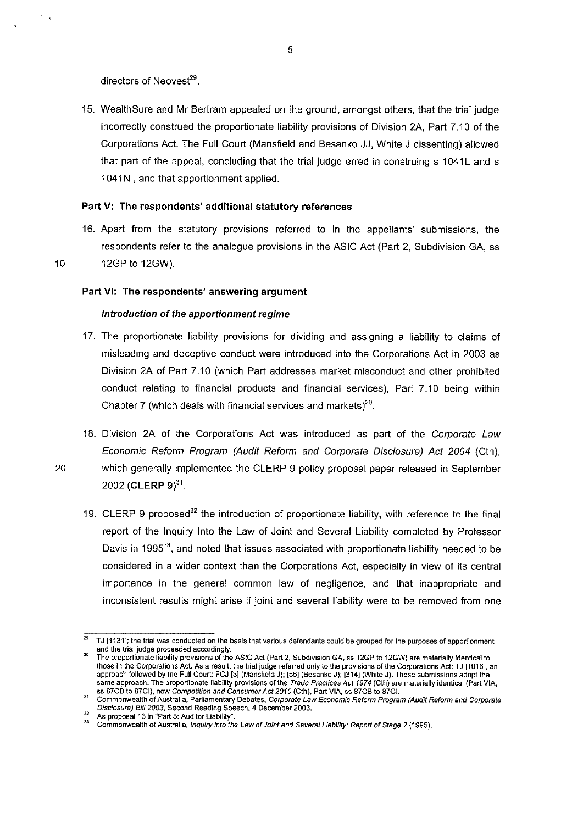directors of Neovest $^{29}$ .

15. WealthSure and Mr Bertram appealed on the ground, amongst others, that the trial judge incorrectly construed the proportionate liability provisions of Division 2A, Part 7.10 of the Corporations Act. The Full Court (Mansfield and Besanko JJ, White J dissenting) allowed that part of the appeal, concluding that the trial judge erred in construing s 1041L and s 1041N, and that apportionment applied.

### Part V: The respondents' additional statutory references

16. Apart from the statutory provisions referred to in the appellants' submissions, the respondents refer to the analogue provisions in the ASIC Act (Part 2, Subdivision GA, ss 10 12GP to 12GW).

 $\mathcal{O}_{\mathcal{A}}$ 

### Part VI: The respondents' answering argument

### Introduction of the apportionment regime

- 17. The proportionate liability provisions for dividing and assigning a liability to claims of misleading and deceptive conduct were introduced into the Corporations Act in 2003 as Division 2A of Part 7.10 (which Part addresses market misconduct and other prohibited conduct relating to financial products and financial services), Part 7.10 being within Chapter 7 (which deals with financial services and markets) $30$ .
- 18. Division 2A of the Corporations Act was introduced as part of the Corporate Law Economic Reform Program (Audit Reform and Corporate Disclosure) Act 2004 (Cth), 20 which generally implemented the CLERP 9 policy proposal paper released in September 2002 **(CLERP 9)**<sup>31</sup>.
	- 19. CLERP 9 proposed<sup>32</sup> the introduction of proportionate liability, with reference to the final report of the Inquiry Into the Law of Joint and Several Liability completed by Professor Davis in 1995<sup>33</sup>, and noted that issues associated with proportionate liability needed to be considered in a wider context than the Corporations Act, especially in view of its central importance in the general common law of negligence, and that inappropriate and inconsistent results might arise if joint and several liability were to be removed from one

TJ [1131]; the trial was conducted on the basis that various defendants could be grouped for the purposes of apportionment and the trial judge proceeded accordingly.

The proportionate liability provisions of the ASIC Act (Part 2, Subdivision GA, ss 12GP to 12GW) are materially identical to those in the Corporations Act. As a result, the trial judge referred only to the provisions of the Corporations Act: TJ [1016], an **approach followed by the Full Court: FCJ [3] (Mansfield J); [56] (Besanko J); [314] (White J). These submissions adopt the**  same approach. The proportionate liability provisions of the *Trade Practices Act 1974* (Cth) are materially identical (Part VIA, ss 87CB to 87CI), now *Competition and Consumer Act 2010* (Cth), Part VIA, ss 87CB to 87CI.

<sup>&</sup>lt;sup>31</sup> Commonwealth of Australia, Parliamentary Debates, Corporate Law Economic Reform Program (Audit Reform and Corporate Disclosure) Bill 2003, Second Reading Speech, 4 December 2003.

As proposal 13 in "Part 5: Auditor Liability".<br><sup>33</sup> Commonwealth of Australia, *Inquiry into the Law of Joint and Several Liability: Report of Stage 2 (1995).*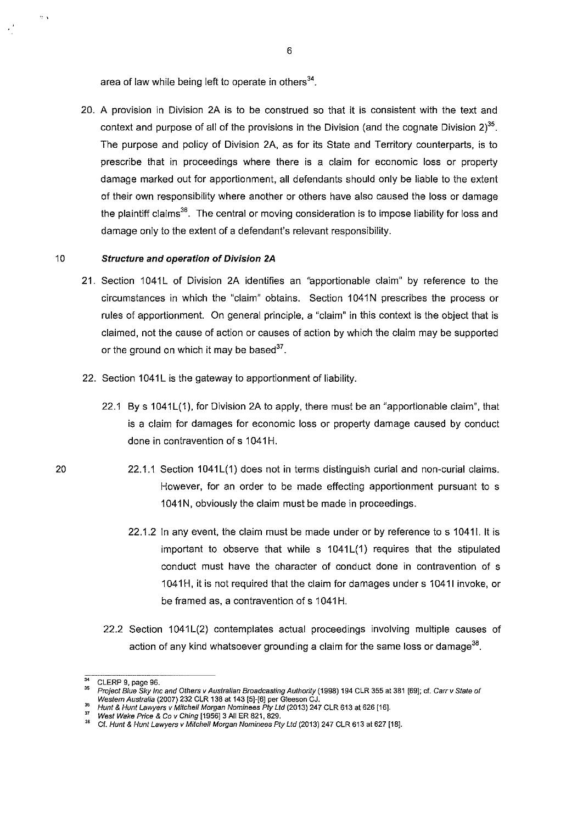area of law while being left to operate in others $34$ .

20. A provision in Division 2A is to be construed so that it is consistent with the text and context and purpose of all of the provisions in the Division (and the cognate Division 2) $^{35}$ . The purpose and policy of Division 2A, as for its State and Territory counterparts, is to prescribe that in proceedings where there is a claim for economic loss or property damage marked out for apportionment, all defendants should only be liable to the extent of their own responsibility where another or others have also caused the loss or damage the plaintiff claims<sup>36</sup>. The central or moving consideration is to impose liability for loss and damage only to the extent of a defendant's relevant responsibility.

### 10 **Structure and operation of Division 2A**

·:'

- 21. Section 1041L of Division 2A identifies an "apportionable claim" by reference to the circumstances in which the "claim" obtains. Section 1041N prescribes the process or rules of apportionment. On general principle, a "claim" in this context is the object that is claimed, not the cause of action or causes of action by which the claim may be supported or the ground on which it may be based $37$ .
- 22. Section 1041L is the gateway to apportionment of liability.
	- 22.1 By s 1041L(1), for Division 2A to apply, there must be an "apportionable claim", that is a claim for damages for economic loss or property damage caused by conduct done in contravention of s 1041H.
- 22.1.1 Section 1041L(1) does not in terms distinguish curial and non-curial claims. However, for an order to be made effecting apportionment pursuant to s 1041N, obviously the claim must be made in proceedings.
	- 22.1.2 In any event, the claim must be made under or by reference to s 10411. It is important to observe that while s 1041L(1) requires that the stipulated conduct must have the character of conduct done in contravention of s 1041H, it is not required that the claim for damages under s 1041I invoke, or be framed as, a contravention of s 1041H.
	- 22.2 Section 1041L(2) contemplates actual proceedings involving multiple causes of action of any kind whatsoever grounding a claim for the same loss or damage<sup>38</sup>.

<sup>&</sup>lt;sup>34</sup> CLERP 9, page 96.<br><sup>35</sup> Project Blue Sky Inc and Others v Australian Broadcasting Authority (1998) 194 CLR 355 at 381 [69]; cf. Carr v State of Western Australia (2007) 232 CLR 138 at 143 [5]-[6] per Gleeson CJ.<br><sup>35</sup> Hunt & Hunt Lawyers v Mitchell Morgan Nominees Pty Ltd (2013) 247 CLR 613 at 626 [16].<br><sup>37</sup> West Wake Price & Co v Ching [1956] 3 All ER 821, 829.

<sup>37</sup>**West Wake Price & Co v Ching [1956]3 AllER 821, 829.** <sup>38</sup>**Cf. Hunt & Hunt Lawyers v Mitcheff Morgan Nominees Pty Ltd (2013) 247 CLR 613 at 627 [18].**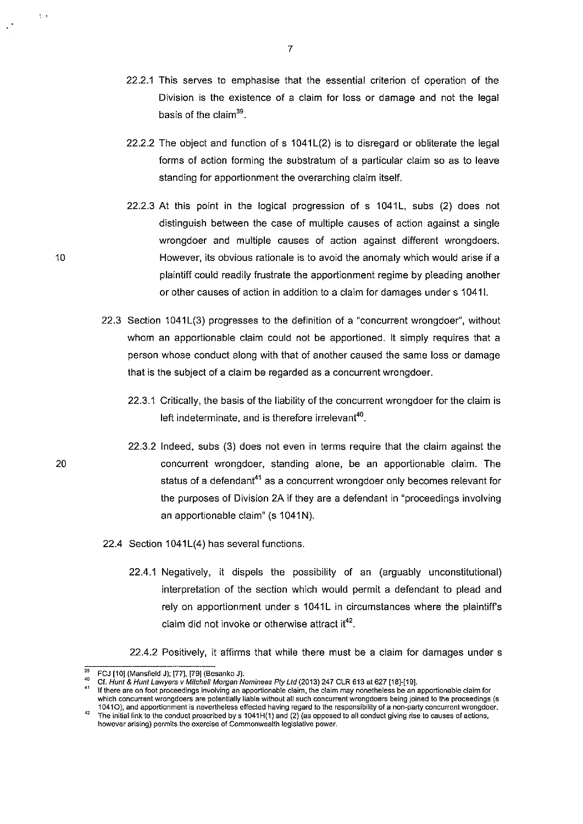- 22.2.1 This serves to emphasise that the essential criterion of operation of the Division is the existence of a claim for loss or damage and not the legal basis of the claim<sup>39</sup>.
- 22.2.2 The object and function of  $s$  1041L(2) is to disregard or obliterate the legal forms of action forming the substratum of a particular claim so as to leave standing for apportionment the overarching claim itself.
- $22.2.3$  At this point in the logical progression of s  $1041$ L, subs  $(2)$  does not distinguish between the case of multiple causes of action against a single wrongdoer and multiple causes of action against different wrongdoers. However, its obvious rationale is to avoid the anomaly which would arise if a plaintiff could readily frustrate the apportionment regime by pleading another or other causes of action in addition to a claim for damages under s 10411.
- 22.3 Section 1041L(3) progresses to the definition of a "concurrent wrongdoer", without whom an apportionable claim could not be apportioned. It simply requires that a person whose conduct along with that of another caused the same loss or damage that is the subject of a claim be regarded as a concurrent wrongdoer.
	- 22.3.1 Critically, the basis of the liability of the concurrent wrongdoer for the claim is left indeterminate, and is therefore irrelevant<sup>40</sup>.
	- 22.3.2 Indeed, subs (3) does not even in terms require that the claim against the concurrent wrongdoer, standing alone, be an apportionable claim. The status of a defendant<sup>41</sup> as a concurrent wrongdoer only becomes relevant for the purposes of Division 2A if they are a defendant in "proceedings involving an apportionable claim" (s 1041N).
- 22.4 Section 1041L(4) has several functions.
	- 22.4.1 Negatively, it dispels the possibility of an (arguably unconstitutional) interpretation of the section which would permit a defendant to plead and rely on apportionment under s 1041L in circumstances where the plaintiff's claim did not invoke or otherwise attract it $^{42}$ .
	- 22.4.2 Positively, it affirms that while there must be a claim for damages under s

''

10

FCJ [10] (Mansfield J); [77], [79] (Besanko J).<br>Cf. Hunt & Hunt Lawyers v Mitchell Morgan Nominees Pty Ltd (2013) 247 CLR 613 at 627 [18]-[19].

If there are on foot proceedings involving an apportionable claim, the claim may nonetheless be an apportionable claim for which concurrent wrongdoers are potentially liable without all such concurrent wrongdoers being joined to the proceedings (s<br>1041O), and apportionment is nevertheless effected having regard to the responsibility of a non-p

The initial link to the conduct proscribed by  $s$  1041H(1) and (2) (as opposed to all conduct giving rise to causes of actions, **however arising) permits the exercise of Commonwealth legislative power.**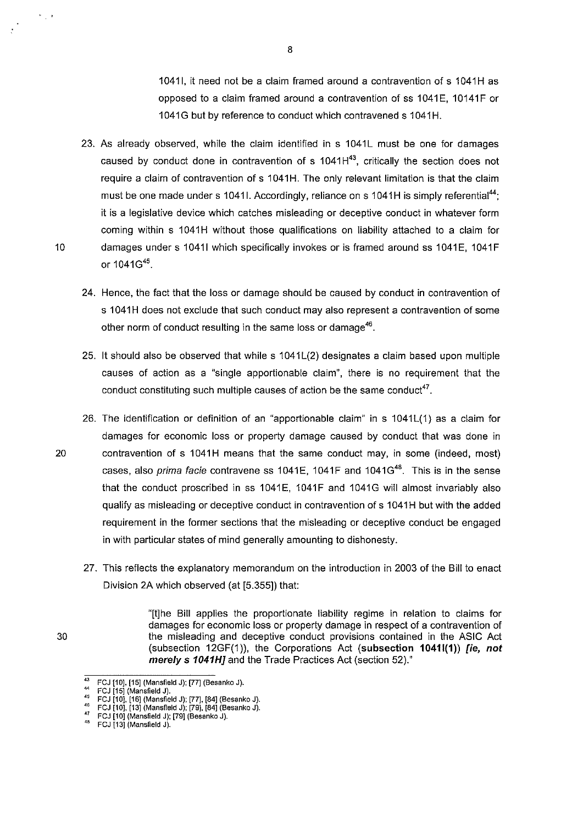1041I, it need not be a claim framed around a contravention of s 1041H as opposed to a claim framed around a contravention of ss 1041E, 10141F or 1041G but by reference to conduct which contravened s 1041H.

- 23. As already observed, while the claim identified in s 1041L must be one for damages caused by conduct done in contravention of s  $1041H<sup>43</sup>$ , critically the section does not require a claim of contravention of s 1041H. The only relevant limitation is that the claim must be one made under s 1041I. Accordingly, reliance on s 1041H is simply referential<sup>44</sup>; it is a legislative device which catches misleading or deceptive conduct in whatever form coming within s 1041H without those qualifications on liability attached to a claim for 10 damages under s 10411 which specifically invokes or is framed around ss 1041E, 1041F or 1041G45.
	- 24. Hence, the fact that the loss or damage should be caused by conduct in contravention of s 1041H does not exclude that such conduct may also represent a contravention of some other norm of conduct resulting in the same loss or damage<sup>46</sup>.
	- 25. It should also be observed that while s 1041 L(2) designates a claim based upon multiple causes of action as a "single apportionable claim", there is no requirement that the conduct constituting such multiple causes of action be the same conduct<sup>47</sup>.
- 26. The identification or definition of an "apportionable claim" in  $s$  1041 $L(1)$  as a claim for damages for economic loss or property damage caused by conduct that was done in 20 contravention of s 1041H means that the same conduct may, in some (indeed, most) cases, also *prima facie* contravene ss  $1041E$ ,  $1041F$  and  $1041G<sup>48</sup>$ . This is in the sense that the conduct proscribed in ss 1041E, 1041F and 1041G will almost invariably also qualify as misleading or deceptive conduct in contravention of s 1041H but with the added requirement in the former sections that the misleading or deceptive conduct be engaged in with particular states of mind generally amounting to dishonesty.
	- 27. This reflects the explanatory memorandum on the introduction in 2003 of the Bill to enact Division 2A which observed (at [5.355]) that:

"[t]he Bill applies the proportionate liability regime in relation to claims for damages for economic loss or property damage in respect of a contravention of 30 the misleading and deceptive conduct provisions contained in the ASIC Act (subsection 12GF(1)), the Corporations Act (subsection 10411(1)) [ie, not merely s 1041HJ and the Trade Practices Act (section 52)."

 $\frac{d\mathbf{r}}{d\mathbf{r}}$  ,  $\frac{d\mathbf{r}}{d\mathbf{r}}$ 

FCJ [10], [15] (Mansfield J); [77] (Besanko J).

<sup>&</sup>quot; FCJ [15] (Mansfield J).

<sup>&</sup>quot; FCJ [10], [16] (Mansfield J); [77], [84] (Besanko J).

<sup>&</sup>lt;sup>\*°</sup> FCJ [10], [13] (Mansfield J); [79], [84] (Besanko J).<br><sup>47</sup> FCJ [10] (Mansfield J); [79] (Besanko J).<br><sup>48</sup> FCJ [13] (Mansfield J).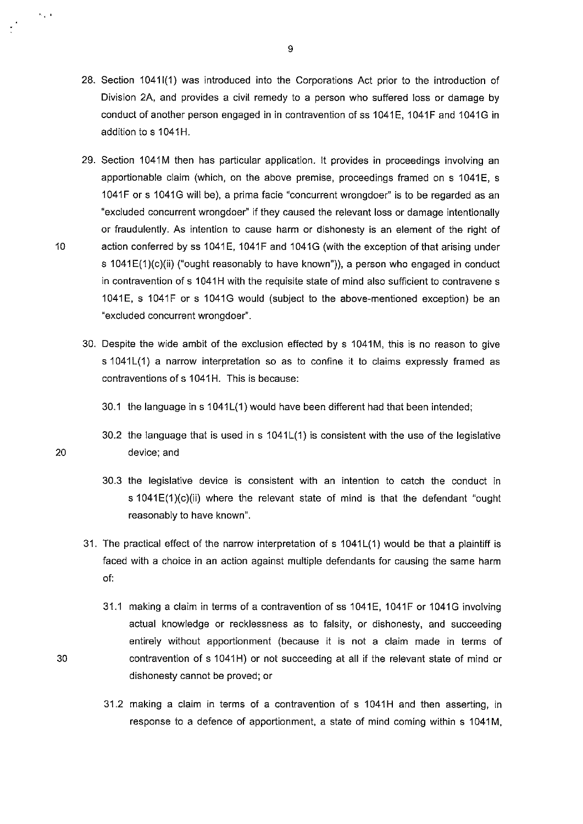- 28. Section 1041(1) was introduced into the Corporations Act prior to the introduction of Division 2A, and provides a civil remedy to a person who suffered loss or damage by conduct of another person engaged in in contravention of ss 1041E, 1041F and 1041G in addition to s 1041H.
- 29. Section 1041M then has particular application. It provides in proceedings involving an apportionable claim (which, on the above premise, proceedings framed on s 1041E, s 1041F or s 1041G will be), a prima facie "concurrent wrongdoer" is to be regarded as an "excluded concurrent wrongdoer" if they caused the relevant loss or damage intentionally or fraudulently. As intention to cause harm or dishonesty is an element of the right of 10 action conferred by ss 1041E, 1041F and 1041G (with the exception of that arising under s 1041E(1)(c)(ii) ("ought reasonably to have known")), a person who engaged in conduct in contravention of s 1041H with the requisite state of mind also sufficient to contravene s 1041E, s 1041F or s 1041G would (subject to the above-mentioned exception) be an "excluded concurrent wrongdoer".
	- 30. Despite the wide ambit of the exclusion effected by s 1041M, this is no reason to give s 1041L(1) a narrow interpretation so as to confine it to claims expressly framed as contraventions of s 1041H. This is because:
		- 30.1 the language in s 1041L(1) would have been different had that been intended;
		- 30.2 the language that is used in  $s$  1041L(1) is consistent with the use of the legislative device; and
		- 30.3 the legislative device is consistent with an intention to catch the conduct in s 1041E(1)(c)(ii) where the relevant state of mind is that the defendant "ought reasonably to have known".
	- 31. The practical effect of the narrow interpretation of s 1041L(1) would be that a plaintiff is faced with a choice in an action against multiple defendants for causing the same harm of:
		- 31.1 making a claim in terms of a contravention of ss 1041E, 1041F or 1041G involving actual knowledge or recklessness as to falsity, or dishonesty, and succeeding entirely without apportionment (because it is not a claim made in terms of contravention of s 1041H) or not succeeding at all if the relevant state of mind or dishonesty cannot be proved; or
		- 31.2 making a claim in terms of a contravention of s 1041H and then asserting, in response to a defence of apportionment, a state of mind coming within s 1041M,

9

 $\mathbf{v}$  ,  $\mathbf{v}$ 

20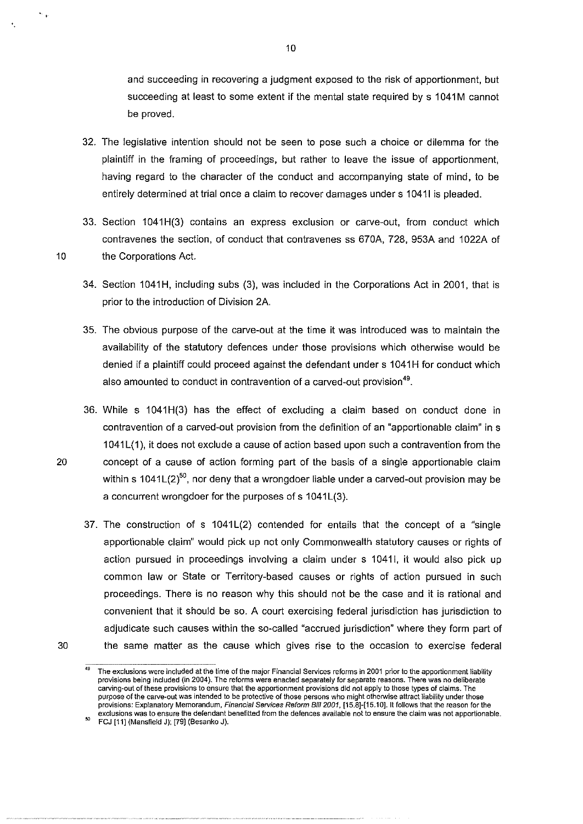and succeeding in recovering a judgment exposed to the risk of apportionment, but succeeding at least to some extent if the mental state required by s 1041M cannot be proved.

- 32. The legislative intention should not be seen to pose such a choice or dilemma for the plaintiff in the framing of proceedings, but rather to leave the issue of apportionment, having regard to the character of the conduct and accompanying state of mind, to be entirely determined at trial once a claim to recover damages under s 10411 is pleaded.
- 33. Section 1041H(3) contains an express exclusion or carve-out, from conduct which contravenes the section, of conduct that contravenes ss 670A, 728, 953A and 1 022A of 10 the Corporations Act.
	- 34. Section 1041H, including subs (3), was included in the Corporations Act in 2001, that is prior to the introduction of Division 2A.
	- 35. The obvious purpose of the carve-out at the time it was introduced was to maintain the availability of the statutory defences under those provisions which otherwise would be denied if a plaintiff could proceed against the defendant under s 1041H for conduct which also amounted to conduct in contravention of a carved-out provision<sup>49</sup>.
- 36. While s 1041 H(3) has the effect of excluding a claim based on conduct done in contravention of a carved-out provision from the definition of an "apportionable claim" in s 1041 L(1 ), it does not exclude a cause of action based upon such a contravention from the 20 concept of a cause of action forming part of the basis of a single apportionable claim within s 1041 $L(2)^{50}$ , nor deny that a wrongdoer liable under a carved-out provision may be a concurrent wrongdoer for the purposes of s 1041L(3).
- 37. The construction of s 1041L(2) contended for entails that the concept of a "single apportionable claim" would pick up not only Commonwealth statutory causes or rights of action pursued in proceedings involving a claim under s 10411, it would also pick up common law or State or Territory-based causes or rights of action pursued in such proceedings. There is no reason why this should not be the case and it is rational and convenient that it should be so. A court exercising federal jurisdiction has jurisdiction to adjudicate such causes within the so-called "accrued jurisdiction" where they form part of 30 the same matter as the cause which gives rise to the occasion to exercise federal
- 

 $\ddotsc$ 

<sup>49</sup>**The exclusions were included at the time of the major Financial Services reforms in 2001 prior to the apportionment liability provisions being included (in 2004). The reforms were enacted separately for separate reasons. There was no deliberate carving-out of these provisions to ensure that the apportionment provisions did not apply to those types of claims. The purpose of the carve·out was intended to be protective of those persons who might otherwise attract liability under those provisions: Explanatory Memorandum, Financial Services Reform Bill 2001, [15.8]-[15.10]. It follows that the reason for the exclusions was to ensure the defendant benefitted from the defences available not to ensure the claim was not apportionable.** <sup>5</sup>

<sup>°</sup> **FCJ [11] (Mansfield J); [79] (Besanko J).**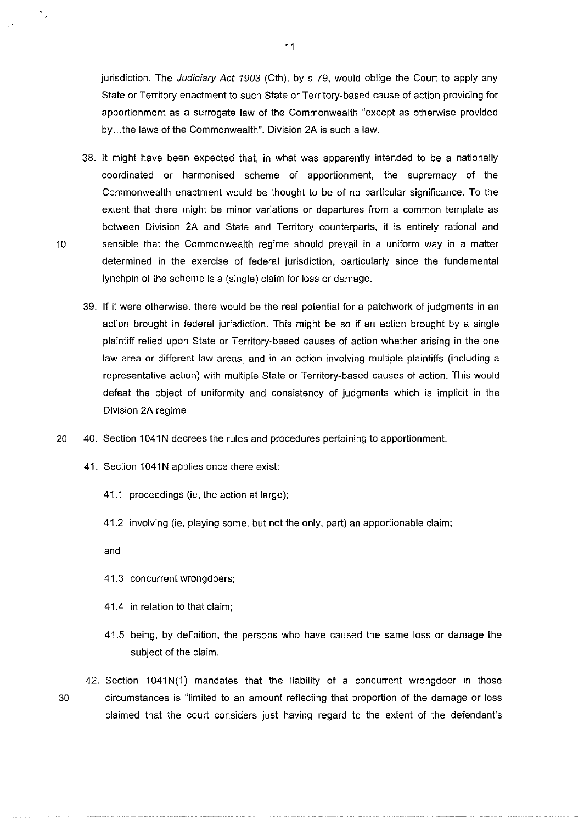jurisdiction. The Judiciary Act 1903 (Cth), by s 79, would oblige the Court to apply any State or Territory enactment to such State or Territory-based cause of action providing for apportionment as a surrogate law of the Commonwealth "except as otherwise provided by ... the laws of the Commonwealth". Division 2A is such a law.

- 38. It might have been expected that, in what was apparently intended to be a nationally coordinated or harmonised scheme of apportionment, the supremacy of the Commonwealth enactment would be thought to be of no particular significance. To the extent that there might be minor variations or departures from a common template as between Division 2A and State and Territory counterparts, it is entirely rational and 10 sensible that the Commonwealth regime should prevail in a uniform way in a matter determined in the exercise of federal jurisdiction, particularly since the fundamental lynchpin of the scheme is a (single) claim for loss or damage.
	- 39. If it were otherwise, there would be the real potential for a patchwork of judgments in an action brought in federal jurisdiction. This might be so if an action brought by a single plaintiff relied upon State or Territory-based causes of action whether arising in the one law area or different law areas, and in an action involving multiple plaintiffs (including a representative action) with multiple State or Territory-based causes of action. This would defeat the object of uniformity and consistency of judgments which is implicit in the Division 2A regime.
- 20 40. Section 1041N decrees the rules and procedures pertaining to apportionment.
	- 41. Section 1041N applies once there exist:
		- 41.1 proceedings (ie, the action at large);
		- 41.2 involving (ie, playing some, but not the only, part) an apportionable claim;

and

- 41.3 concurrent wrongdoers;
- 41.4 in relation to that claim;
- 41.5 being, by definition, the persons who have caused the same loss or damage the subject of the claim.
- 42. Section  $1041N(1)$  mandates that the liability of a concurrent wrongdoer in those 30 circumstances is "limited to an amount reflecting that proportion of the damage or loss claimed that the court considers just having regard to the extent of the defendant's

Ñ,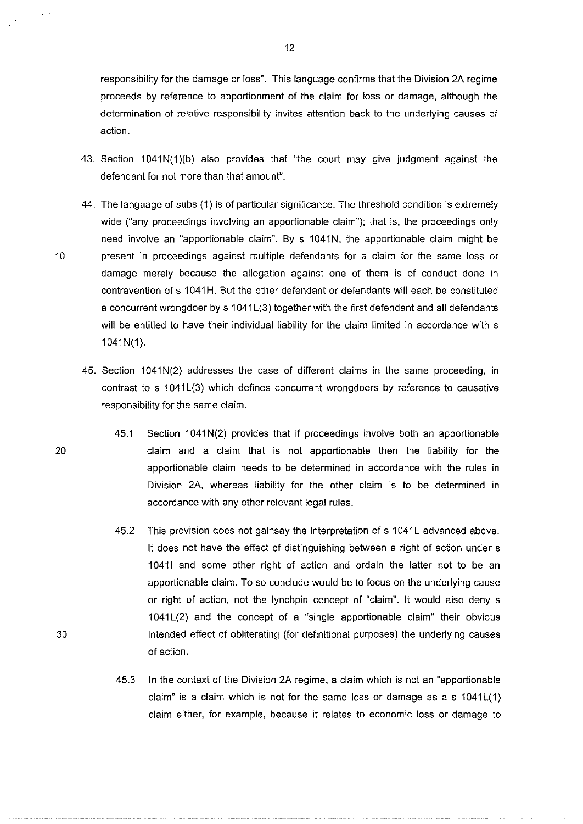responsibility for the damage or loss". This language confirms that the Division 2A regime proceeds by reference to apportionment of the claim for loss or damage, although the determination of relative responsibility invites attention back to the underlying causes of action.

- 43. Section 1041N(1)(b) also provides that "the court may give judgment against the defendant for not more than that amount".
- 44. The language of subs (1) is of particular significance. The threshold condition is extremely wide ("any proceedings involving an apportionable claim"); that is, the proceedings only need involve an "apportionable claim". By s 1041N, the apportionable claim might be 10 present in proceedings against multiple defendants for a claim for the same loss or damage merely because the allegation against one of them is of conduct done in contravention of s 1041 H. But the other defendant or defendants will each be constituted a concurrent wrongdoer by s 1041L(3) together with the first defendant and all defendants will be entitled to have their individual liability for the claim limited in accordance with s 1041N(1).
	- 45. Section 1041N(2) addresses the case of different claims in the same proceeding, in contrast to s 1041L(3) which defines concurrent wrongdoers by reference to causative responsibility for the same claim.
- 45.1 Section 1041N(2) provides that if proceedings involve both an apportionable 20 claim and a claim that is not apportionable then the liability for the apportionable claim needs to be determined in accordance with the rules in Division 2A, whereas liability for the other claim is to be determined in accordance with any other relevant legal rules.
	- 45.2 This provision does not gainsay the interpretation of s 1041L advanced above. It does not have the effect of distinguishing between a right of action under s 10411 and some other right of action and ordain the latter not to be an apportionable claim. To so conclude would be to focus on the underlying cause or right of action, not the lynchpin concept of "claim". It would also deny s  $1041L(2)$  and the concept of a "single apportionable claim" their obvious intended effect of obliterating (for definitional purposes) the underlying causes of action.
	- 45.3 In the context of the Division 2A regime, a claim which is not an "apportionable claim" is a claim which is not for the same loss or damage as as 1041L(1) claim either, for example, because it relates to economic loss or damage to

 $\ddot{\phantom{1}}$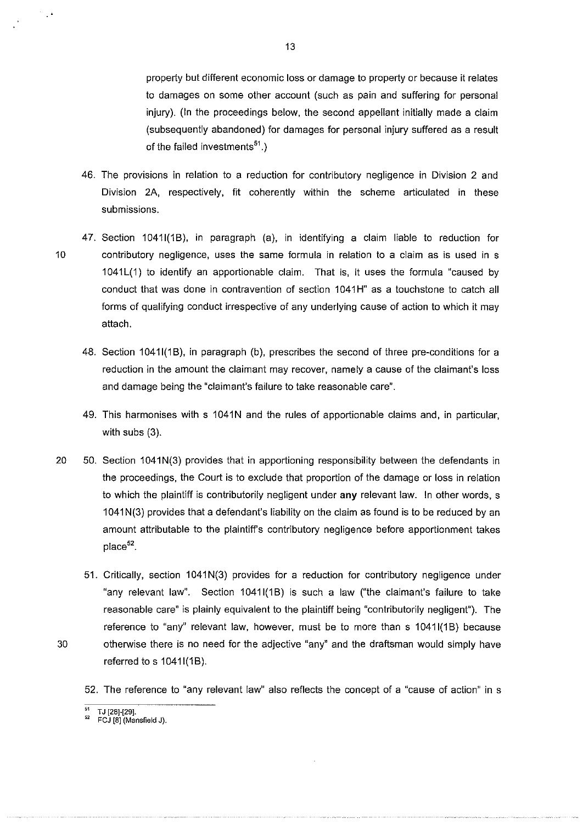property but different economic loss or damage to property or because it relates to damages on some other account (such as pain and suffering for personal injury). (In the proceedings below, the second appellant initially made a claim (subsequently abandoned) for damages for personal injury suffered as a result of the failed investments $51$ .)

- 46. The provisions in relation to a reduction for contributory negligence in Division 2 and Division 2A, respectively, fit coherently within the scheme articulated in these submissions.
- 47. Section 1041I(1B), in paragraph (a), in identifying a claim liable to reduction for 10 contributory negligence, uses the same formula in relation to a claim as is used in s 1041L(1) to identify an apportionable claim. That is, it uses the formula "caused by conduct that was done in contravention of section 1041 **H"** as a touchstone to catch all forms of qualifying conduct irrespective of any underlying cause of action to which it may attach.
	- 48. Section 1041I(1B), in paragraph (b), prescribes the second of three pre-conditions for a reduction in the amount the claimant may recover, namely a cause of the claimant's loss and damage being the "claimant's failure to take reasonable care".
	- 49. This harmonises with s 1041N and the rules of apportionable claims and, in particular, with subs (3).
- 20 50. Section 1041N(3) provides that in apportioning responsibility between the defendants in the proceedings, the Court is to exclude that proportion of the damage or loss in relation to which the plaintiff is contributorily negligent under **any** relevant law. In other words, s 1041 N(3) provides that a defendant's liability on the claim as found is to be reduced by an amount attributable to the plaintiff's contributory negligence before apportionment takes place<sup>52</sup>.
- 51. Critically, section 1041 N(3) provides for a reduction for contributory negligence under "any relevant law". Section 10411(1B) is such a law ("the claimant's failure to take reasonable care" is plainly equivalent to the plaintiff being "contributorily negligent"). The reference to "any" relevant law, however, must be to more than s 1041I(1B) because 30 otherwise there is no need for the adjective "any" and the draftsman would simply have referred to s 10411(18).

52. The reference to "any relevant law" also reflects the concept of a "cause of action" in s

 $\degree$  TJ [28]-[29].

 $\mathbb{R}^3$ 

<sup>&</sup>quot; FCJ [8] (Mansfield J).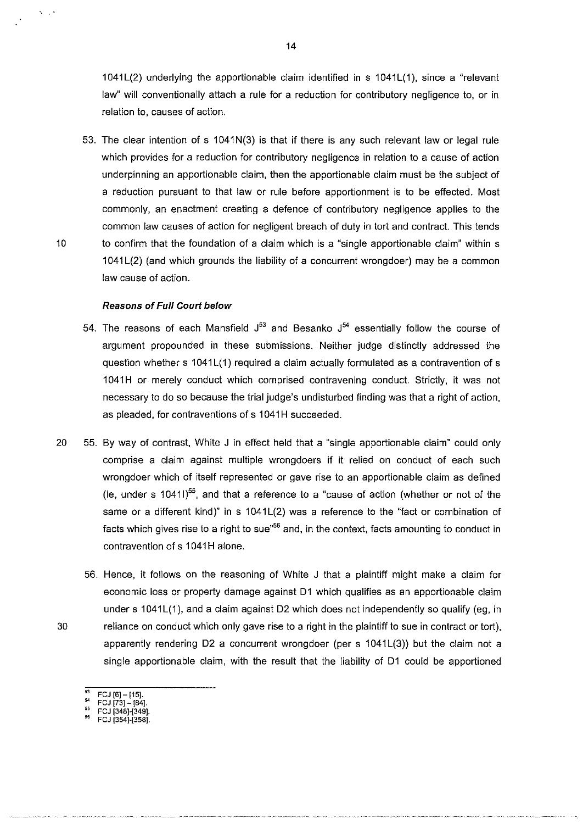$1041L(2)$  underlying the apportionable claim identified in s  $1041L(1)$ , since a "relevant law" will conventionally attach a rule for a reduction for contributory negligence to, or in relation to, causes of action.

53. The clear intention of s 1041N(3) is that if there is any such relevant law or legal rule which provides for a reduction for contributory negligence in relation to a cause of action underpinning an apportionable claim, then the apportionable claim must be the subject of a reduction pursuant to that law or rule before apportionment is to be effected. Most commonly, an enactment creating a defence of contributory negligence applies to the common law causes of action for negligent breach of duty in tort and contract. This tends 10 to confirm that the foundation of a claim which is a "single apportionable claim" within s 1041 L(2) (and which grounds the liability of a concurrent wrongdoer) may be a common law cause of action.

### **Reasons of Full Court below**

 $N = 3$ 

- 54. The reasons of each Mansfield  $J^{53}$  and Besanko  $J^{54}$  essentially follow the course of argument propounded in these submissions. Neither judge distinctly addressed the question whether s 1041L(1) required a claim actually formulated as a contravention of s 1041 **H** or merely conduct which comprised contravening conduct. Strictly, it was not necessary to do so because the trial judge's undisturbed finding was that a right of action, as pleaded, for contraventions of s 1041H succeeded.
- 20 55. By way of contrast, White J in effect held that a "single apportionable claim" could only comprise a claim against multiple wrongdoers **if** it relied on conduct of each such wrongdoer which of itself represented or gave rise to an apportionable claim as defined (ie, under s  $10411$ )<sup>55</sup>, and that a reference to a "cause of action (whether or not of the same or a different kind)" in  $s$  1041L(2) was a reference to the "fact or combination of facts which gives rise to a right to sue<sup>"56</sup> and, in the context, facts amounting to conduct in contravention of s 1041H alone.
- 56. Hence, it follows on the reasoning of White J that a plaintiff might make a claim for economic loss or property damage against D1 which qualifies as an apportionable claim under s 1041L(1), and a claim against D2 which does not independently so qualify (eg, in 30 reliance on conduct which only gave rise to a right in the plaintiff to sue in contract or tort), apparently rendering D2 a concurrent wrongdoer (per s 1041L(3)) but the claim not a single apportionable claim, with the result that the liability of D1 could be apportioned
	- $FCJ [6] [15]$ .

 $^{54}$  FCJ [73] - [84]. FCJ [348]-[349].

FCJ [354]-[358].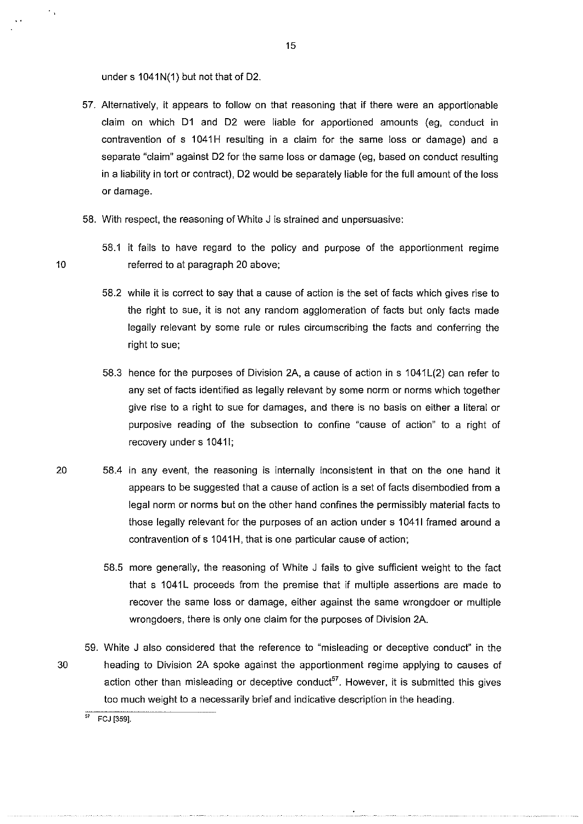under s 1041N(1) but not that of D2.

- 57. Alternatively. it appears to follow on that reasoning that if there were an apportionable claim on which D1 and D2 were liable for apportioned amounts (eg, conduct in contravention of s 1041H resulting in a claim for the same loss or damage) and a separate "claim" against D2 for the same loss or damage (eg, based on conduct resulting in a liability in tort or contract), D2 would be separately liable for the full amount of the loss or damage.
- 58. With respect, the reasoning of White J is strained and unpersuasive:
- 58.1 it fails to have regard to the policy and purpose of the apportionment regime 10 referred to at paragraph 20 above;
	- 58.2 while it is correct to say that a cause of action is the set of facts which gives rise to the right to sue, it is not any random agglomeration of facts but only facts made legally relevant by some rule or rules circumscribing the facts and conferring the right to sue;
	- 58.3 hence for the purposes of Division 2A, a cause of action in s 1041L(2) can refer to any set of facts identified as legally relevant by some norm or norms which together give rise to a right to sue for damages, and there is no basis on either a literal or purposive reading of the subsection to confine "cause of action" to a right of recovery under s 10411;
- 20 58.4 in any event, the reasoning is internally inconsistent in that on the one hand it appears to be suggested that a cause of action is a set of facts disembodied from a legal norm or norms but on the other hand confines the permissibly material facts to those legally relevant for the purposes of an action under s 10411 framed around a contravention of s 1041H, that is one particular cause of action;
	- 58.5 more generally, the reasoning of White J fails to give sufficient weight to the fact that s 1041L proceeds from the premise that if multiple assertions are made to recover the same loss or damage, either against the same wrongdoer or multiple wrongdoers, there is only one claim for the purposes of Division 2A.
- 59. White J also considered that the reference to "misleading or deceptive conduct" in the 30 heading to Division 2A spoke against the apportionment regime applying to causes of action other than misleading or deceptive conduct<sup>57</sup>. However, it is submitted this gives too much weight to a necessarily brief and indicative description in the heading.

15

 $\ddot{\phantom{0}}$  ,

 $\frac{1}{57}$  FCJ [359].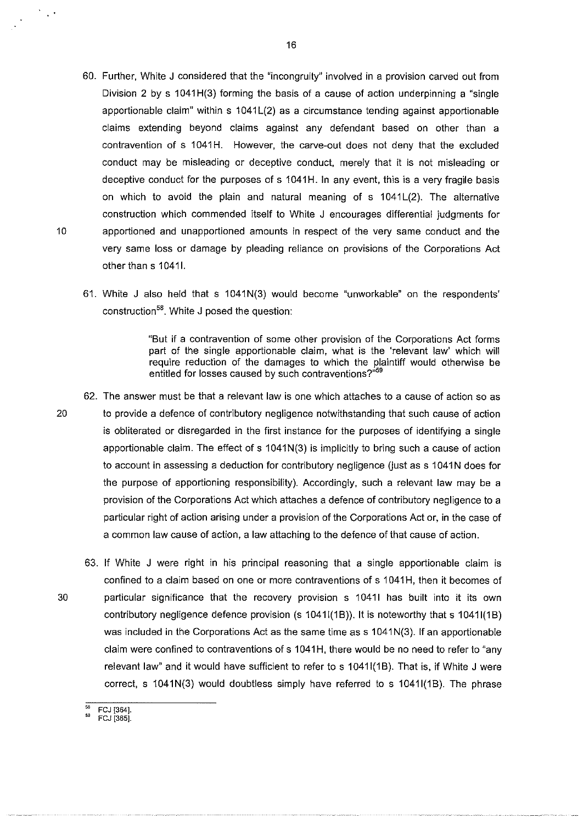- 60. Further, White J considered that the "incongruity" involved in a provision carved out from Division 2 by s 1041H(3) forming the basis of a cause of action underpinning a "single apportionable claim" within  $s$  1041 $L(2)$  as a circumstance tending against apportionable claims extending beyond claims against any defendant based on other than a contravention of s 1041H. However, the carve-out does not deny that the excluded conduct may be misleading or deceptive conduct, merely that it is not misleading or deceptive conduct for the purposes of s 1041H. In any event, this is a very fragile basis on which to avoid the plain and natural meaning of  $s$  1041 $L(2)$ . The alternative construction which commended itself to White J encourages differential judgments for 10 apportioned and unapportioned amounts in respect of the very same conduct and the very same loss or damage by pleading reliance on provisions of the Corporations Act other than s 1041l.
	- 61. White J also held that s 1041N(3) would become "unworkable" on the respondents' construction<sup>58</sup>. White J posed the question:

"But if a contravention of some other provision of the Corporations Act forms part of the single apportionable claim, what is the 'relevant law' which will require reduction of the damages to which the plaintiff would otherwise be entitled for losses caused by such contraventions?"59

- 62. The answer must be that a relevant law is one which attaches to a cause of action so as 20 to provide a defence of contributory negligence notwithstanding that such cause of action is obliterated or disregarded in the first instance for the purposes of identifying a single apportionable claim. The effect of  $s$  1041N(3) is implicitly to bring such a cause of action to account in assessing a deduction for contributory negligence (just as s 1041N does for the purpose of apportioning responsibility). Accordingly, such a relevant law may be a provision of the Corporations Act which attaches a defence of contributory negligence to a particular right of action arising under a provision of the Corporations Act or, in the case of a common law cause of action, a law attaching to the defence of that cause of action.
- 63. If White J were right in his principal reasoning that a single apportionable claim is confined to a claim based on one or more contraventions of s 1041 H, then it becomes of 30 particular significance that the recovery provision s 10411 has built into it its own contributory negligence defence provision (s 1041I(1B)). It is noteworthy that s 1041I(1B) was included in the Corporations Act as the same time as s 1041N(3). If an apportionable claim were confined to contraventions ofs 1041H, there would be no need to refer to "any relevant law" and it would have sufficient to refer to s 10411(1B). That is, if White J were correct, s  $1041N(3)$  would doubtless simply have referred to s  $1041I(1B)$ . The phrase

 $\frac{1}{2}$  ,  $\frac{1}{2}$ 

FCJ [364].<br>FCJ [365].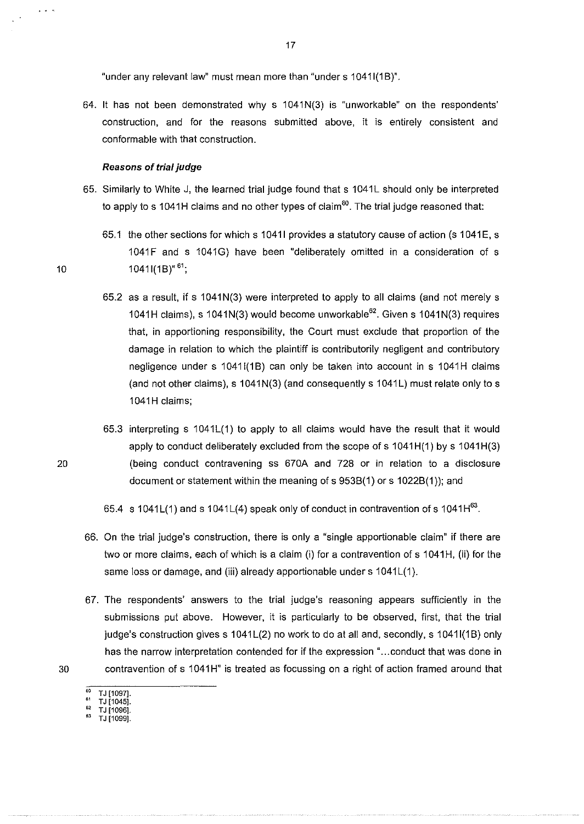"under any relevant law" must mean more than "under s 1041I(1B)".

 $64.$  It has not been demonstrated why s  $1041N(3)$  is "unworkable" on the respondents' construction, and for the reasons submitted above, it is entirely consistent and conformable with that construction.

#### **Reasons of trial judge**

- 65. Similarly to White J, the learned trial judge found that s 1041L should only be interpreted to apply to s 1041H claims and no other types of claim<sup>60</sup>. The trial judge reasoned that:
- 65.1 the other sections for which s 1041I provides a statutory cause of action (s 1041E, s 1041F and s 1041G) have been "deliberately omitted in a consideration of s 10  $10^{161}$ ;
	- 65.2 as a result, if s 1041 N(3) were interpreted to apply to all claims (and not merely s 1041H claims), s 1041N(3) would become unworkable<sup>62</sup>. Given s 1041N(3) requires that, in apportioning responsibility, the Court must exclude that proportion of the damage in relation to which the plaintiff is contributorily negligent and contributory negligence under s 1041I(1B) can only be taken into account in s 1041H claims (and not other claims), s 1041N(3) (and consequently s 1041L) must relate only to s 1041H claims;
	- 65.3 interpreting s  $1041L(1)$  to apply to all claims would have the result that it would apply to conduct deliberately excluded from the scope of s 1041H(1) by s 1041H(3) (being conduct contravening ss 670A and 728 or in relation to a disclosure document or statement within the meaning of s 953B(1) or s **1** 022B(1 )); and

65.4  $\,$  s 1041L(1) and s 1041L(4) speak only of conduct in contravention of s 1041H $^{63}$ .

- 66. On the trial judge's construction, there is only a "single apportionable claim" if there are two or more claims, each of which is a claim (i) for a contravention of s 1041H, (ii) for the same loss or damage, and (iii) already apportionable under s 1041L(1).
- 67. The respondents' answers to the trial judge's reasoning appears sufficiently in the submissions put above. However, it is particularly to be observed, first, that the trial judge's construction gives s 1041L(2) no work to do at all and, secondly, s 1041l(1B) only has the narrow interpretation contended for if the expression "...conduct that was done in 30 contravention of s 1041H" is treated as focussing on a right of action framed around that
	-
	- TJ [1097].<br>TJ [1045].<br>TJ [1096].
	- " TJ[1096]. 63 **TJ [1099].**

20

 $\sim$   $\sim$   $\sim$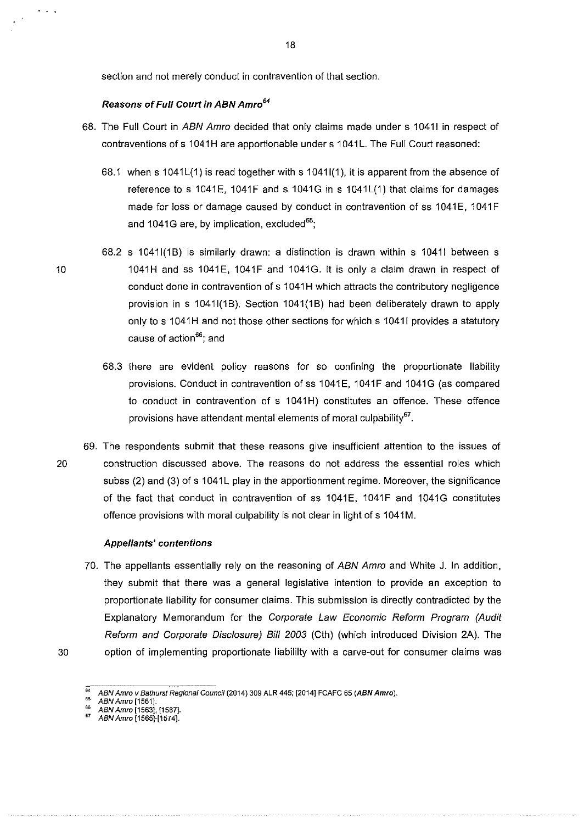section and not merely conduct in contravention of that section.

### Reasons of Full Court in ABN Amro*<sup>64</sup>*

- 68. The Full Court in ABN Amro decided that only claims made under s 10411 in respect of contraventions of s 1041H are apportionable under s 1041L. The Full Court reasoned:
	- 68.1 when s  $1041L(1)$  is read together with s  $1041I(1)$ , it is apparent from the absence of reference to s 1041 $E$ , 1041 $F$  and s 1041 $G$  in s 1041 $L(1)$  that claims for damages made for loss or damage caused by conduct in contravention of ss 1041E, 1041F and 1041G are, by implication, excluded $^{65}$ ;
- 68.2 s 10411(18) is similarly drawn: a distinction is drawn within s 10411 between s 10 1041H and ss 1041E, 1041F and 1041G. It is only a claim drawn in respect of conduct done in contravention of s 1041H which attracts the contributory negligence provision in s 10411(1B). Section 1041(1B) had been deliberately drawn to apply only to s 1041H and not those other sections for which s 1041l provides a statutory cause of action<sup>66</sup>; and
	- 68.3 there are evident policy reasons for so confining the proportionate liability provisions. Conduct in contravention of ss 1041E, 1041F and 1041G (as compared to conduct in contravention of s 1041H) constitutes an offence. These offence provisions have attendant mental elements of moral culpability<sup>67</sup>
- 69. The respondents submit that these reasons give insufficient attention to the issues of 20 construction discussed above. The reasons do not address the essential roles which subss (2) and (3) of s 1041L play in the apportionment regime. Moreover, the significance of the fact that conduct in contravention of ss 1041E, 1041F and 1041G constitutes offence provisions with moral culpability is not clear in light of s 1041M.

#### Appellants' contentions

70. The appellants essentially rely on the reasoning of ABN Amro and White J. In addition, they submit that there was a general legislative intention to provide an exception to proportionate liability for consumer claims. This submission is directly contradicted by the Explanatory Memorandum for the Corporate Law Economic Reform Program (Audit Reform and Corporate Disclosure) Bill 2003 (Cth) (which introduced Division 2A). The 30 option of implementing proportionate liabililty with a carve-out for consumer claims was

 $\ddots$  .

<sup>65</sup>**ABN Amro [1561].** 

<sup>64</sup>**ABN Amra v Bathurst Regional Council (2014) 309 ALR 445; [2014] FCAFC 65 (ABN Amra).** 

 $\frac{100}{100}$  ABN Amro [1563], [1587].

<sup>&</sup>quot; ABNAmro[1565J-[1574J.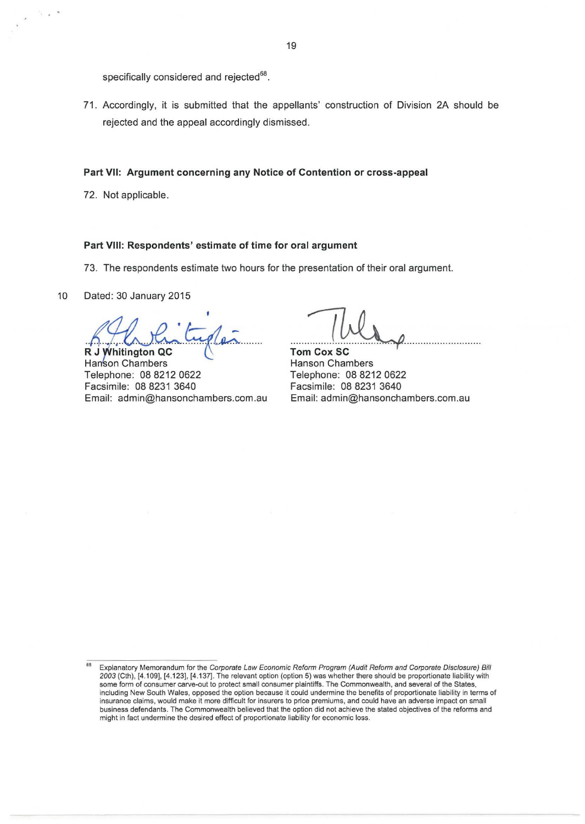specifically considered and rejected<sup>68</sup>.

71 . Accordingly, it is submitted that the appellants' construction of Division 2A should be rejected and the appeal accordingly dismissed.

### **Part VII: Argument concerning any Notice of Contention or cross-appeal**

72. Not applicable.

## **Part VIII: Respondents' estimate of time for oral argument**

73. The respondents estimate two hours for the presentation of their oral argument.

10 Dated: 30 January 2015

**R J Whitington QC** 

Hanson Chambers Telephone: 08 8212 0622 Facsimile: 08 8231 3640 Email: admin@hansonchambers.com .au

**Tom Cox SC**  Hanson Chambers Telephone: 08 8212 0622 Facsimile: 08 8231 3640 Email: admin@hansonchambers.com.au

Explanatory Memorandum for the Corporate Law Economic Reform Program (Audit Reform and Corporate Disclosure) Bill *2003* (Cth), [4.109], [4.123], [4.137]. The relevant option (option 5) was whether there should be proportionate liability with some form of consumer carve-out to protect small consumer plaintiffs. The Commonwealth, and several of the States, including New South Wales, opposed the option because it could undermine the benefits of proportionate liability in terms of insurance claims, would make it more difficult for insurers to price premiums, and could have an adverse impact on small business defendants. The Commonwealth believed that the option did not achieve the stated objectives of the reforms and might in fact undermine the desired effect of proportionate liability for economic loss.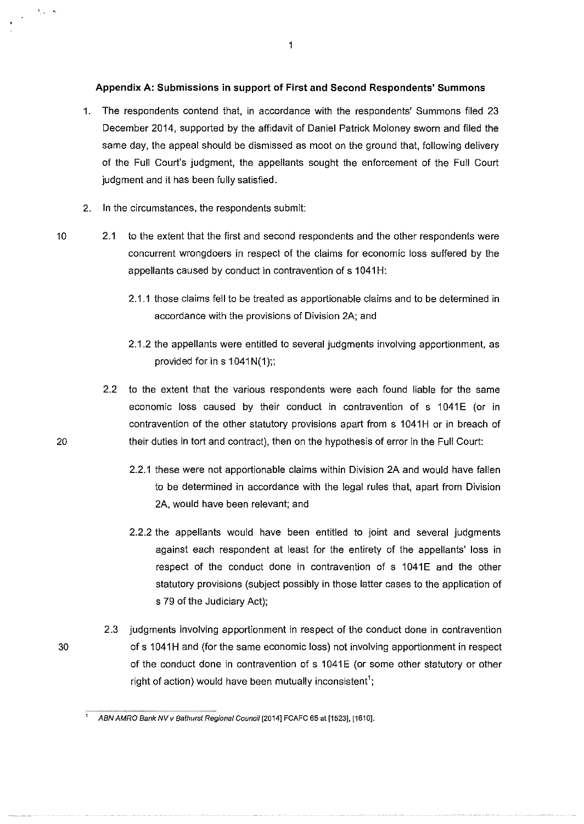### **Appendix A: Submissions in support of First and Second Respondents' Summons**

- 1. The respondents contend that, in accordance with the respondents' Summons filed 23 December 2014, supported by the affidavit of Daniel Patrick Moloney sworn and filed the same day, the appeal should be dismissed as moot on the ground that, following delivery of the Full Court's judgment, the appellants sought the enforcement of the Full Court judgment and it has been fully satisfied.
- 2. In the circumstances, the respondents submit:

10 2.1 to the extent that the first and second respondents and the other respondents were concurrent wrongdoers in respect of the claims for economic loss suffered by the appellants caused by conduct in contravention of s 1041H:

- 2.1.1 those claims fell to be treated as apportionable claims and to be determined in accordance with the provisions of Division 2A; and
- 2.1.2 the appellants were entitled to several judgments involving apportionment, as provided for in  $s$  1041N(1);;

2.2 to the extent that the various respondents were each found liable for the same economic loss caused by their conduct in contravention of s 1041E (or in contravention of the other statutory provisions apart from s 1041H or in breach of their duties in tort and contract), then on the hypothesis of error in the Full Court:

- 2.2.1 these were not apportionable claims within Division 2A and would have fallen to be determined in accordance with the legal rules that, apart from Division 2A, would have been relevant; and
- 2.2.2 the appellants would have been entitled to joint and several judgments against each respondent at least for the entirety of the appellants' loss in respect of the conduct done in contravention of s 1041E and the other statutory provisions (subject possibly in those latter cases to the application of s 79 of the Judiciary Act);
- 2.3 judgments involving apportionment in respect of the conduct done in contravention 30 ofs 1041H and {for the same economic loss) not involving apportionment in respect of the conduct done in contravention of s 1041E (or some other statutory or other right of action) would have been mutually inconsistent';

20

 $\hat{\mathbf{v}}_{\text{max}} = \hat{\mathbf{v}}_t$ 

<sup>1</sup>**ABN AMRO Bank NV v Bathurst Regional Council [2014] FCAFC 65 at {1523], [1610].**